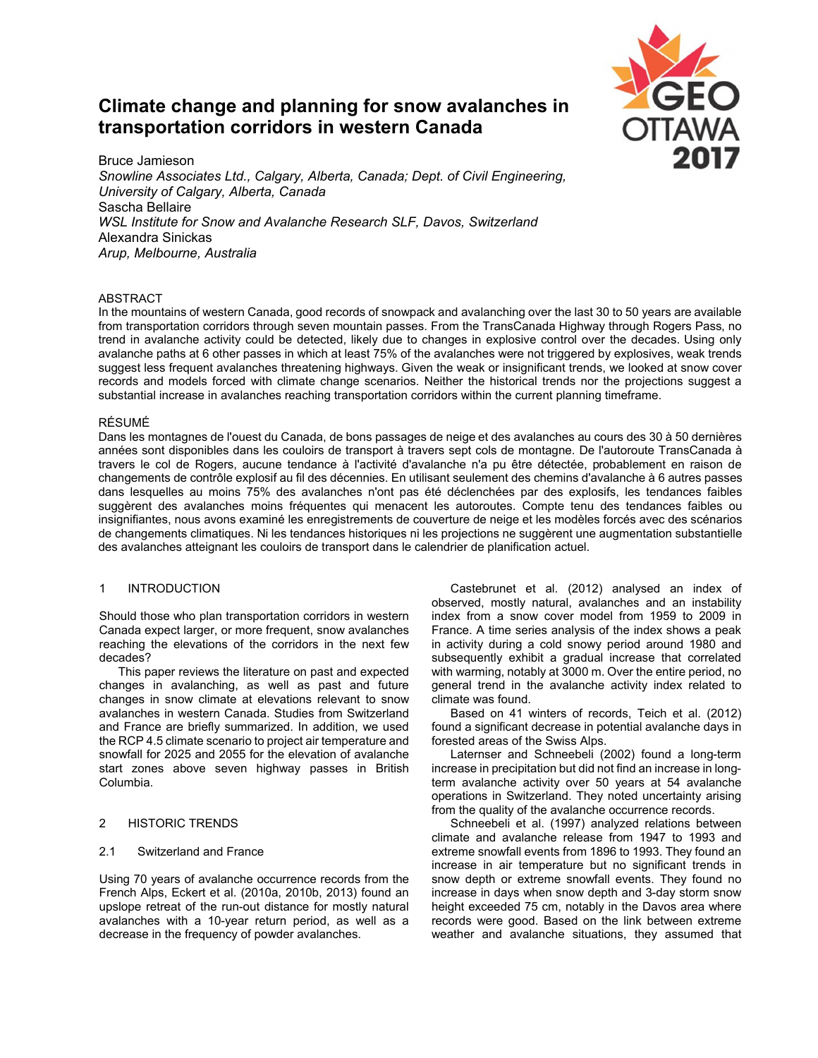# **Climate change and planning for snow avalanches in transportation corridors in western Canada**



Bruce Jamieson *Snowline Associates Ltd., Calgary, Alberta, Canada; Dept. of Civil Engineering, University of Calgary, Alberta, Canada* Sascha Bellaire *WSL Institute for Snow and Avalanche Research SLF, Davos, Switzerland* Alexandra Sinickas *Arup, Melbourne, Australia*

# **ABSTRACT**

In the mountains of western Canada, good records of snowpack and avalanching over the last 30 to 50 years are available from transportation corridors through seven mountain passes. From the TransCanada Highway through Rogers Pass, no trend in avalanche activity could be detected, likely due to changes in explosive control over the decades. Using only avalanche paths at 6 other passes in which at least 75% of the avalanches were not triggered by explosives, weak trends suggest less frequent avalanches threatening highways. Given the weak or insignificant trends, we looked at snow cover records and models forced with climate change scenarios. Neither the historical trends nor the projections suggest a substantial increase in avalanches reaching transportation corridors within the current planning timeframe.

# RÉSUMÉ

Dans les montagnes de l'ouest du Canada, de bons passages de neige et des avalanches au cours des 30 à 50 dernières années sont disponibles dans les couloirs de transport à travers sept cols de montagne. De l'autoroute TransCanada à travers le col de Rogers, aucune tendance à l'activité d'avalanche n'a pu être détectée, probablement en raison de changements de contrôle explosif au fil des décennies. En utilisant seulement des chemins d'avalanche à 6 autres passes dans lesquelles au moins 75% des avalanches n'ont pas été déclenchées par des explosifs, les tendances faibles suggèrent des avalanches moins fréquentes qui menacent les autoroutes. Compte tenu des tendances faibles ou insignifiantes, nous avons examiné les enregistrements de couverture de neige et les modèles forcés avec des scénarios de changements climatiques. Ni les tendances historiques ni les projections ne suggèrent une augmentation substantielle des avalanches atteignant les couloirs de transport dans le calendrier de planification actuel.

# 1 INTRODUCTION

Should those who plan transportation corridors in western Canada expect larger, or more frequent, snow avalanches reaching the elevations of the corridors in the next few decades?

This paper reviews the literature on past and expected changes in avalanching, as well as past and future changes in snow climate at elevations relevant to snow avalanches in western Canada. Studies from Switzerland and France are briefly summarized. In addition, we used the RCP 4.5 climate scenario to project air temperature and snowfall for 2025 and 2055 for the elevation of avalanche start zones above seven highway passes in British Columbia.

# 2 HISTORIC TRENDS

# 2.1 Switzerland and France

Using 70 years of avalanche occurrence records from the French Alps, Eckert et al. (2010a, 2010b, 2013) found an upslope retreat of the run-out distance for mostly natural avalanches with a 10-year return period, as well as a decrease in the frequency of powder avalanches.

Castebrunet et al. (2012) analysed an index of observed, mostly natural, avalanches and an instability index from a snow cover model from 1959 to 2009 in France. A time series analysis of the index shows a peak in activity during a cold snowy period around 1980 and subsequently exhibit a gradual increase that correlated with warming, notably at 3000 m. Over the entire period, no general trend in the avalanche activity index related to climate was found.

Based on 41 winters of records, Teich et al. (2012) found a significant decrease in potential avalanche days in forested areas of the Swiss Alps.

Laternser and Schneebeli (2002) found a long-term increase in precipitation but did not find an increase in longterm avalanche activity over 50 years at 54 avalanche operations in Switzerland. They noted uncertainty arising from the quality of the avalanche occurrence records.

Schneebeli et al. (1997) analyzed relations between climate and avalanche release from 1947 to 1993 and extreme snowfall events from 1896 to 1993. They found an increase in air temperature but no significant trends in snow depth or extreme snowfall events. They found no increase in days when snow depth and 3-day storm snow height exceeded 75 cm, notably in the Davos area where records were good. Based on the link between extreme weather and avalanche situations, they assumed that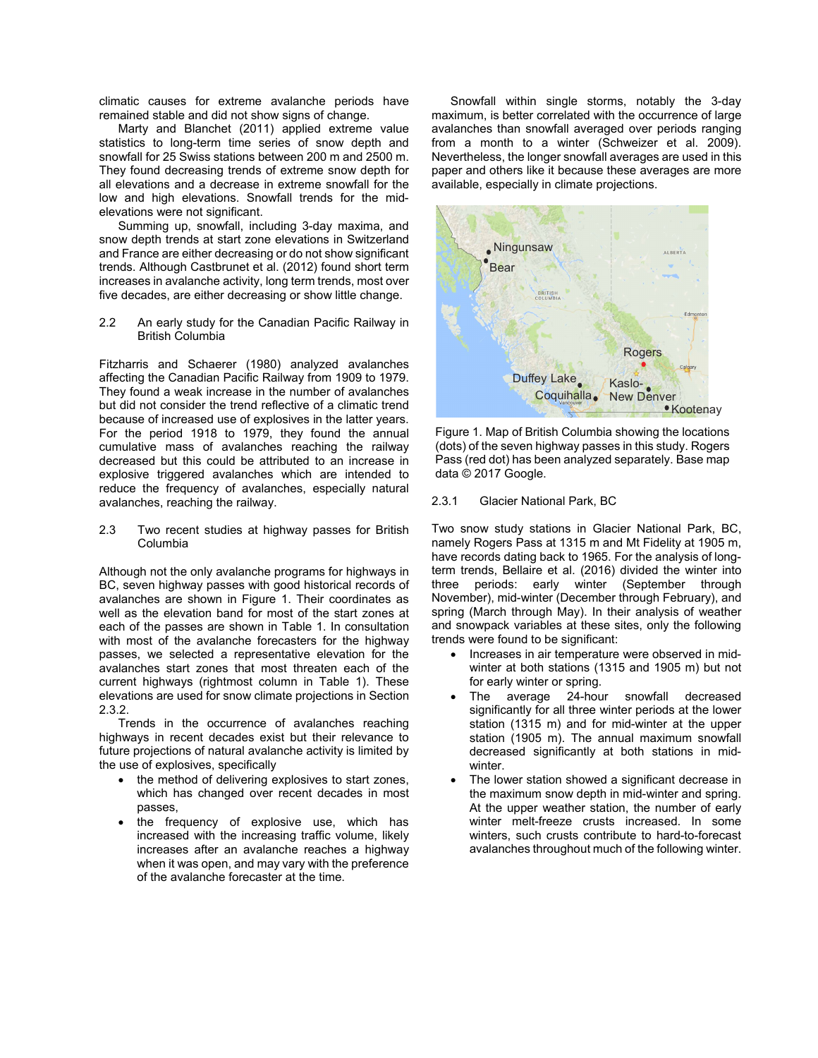climatic causes for extreme avalanche periods have remained stable and did not show signs of change.

Marty and Blanchet (2011) applied extreme value statistics to long-term time series of snow depth and snowfall for 25 Swiss stations between 200 m and 2500 m. They found decreasing trends of extreme snow depth for all elevations and a decrease in extreme snowfall for the low and high elevations. Snowfall trends for the midelevations were not significant.

Summing up, snowfall, including 3-day maxima, and snow depth trends at start zone elevations in Switzerland and France are either decreasing or do not show significant trends. Although Castbrunet et al. (2012) found short term increases in avalanche activity, long term trends, most over five decades, are either decreasing or show little change.

2.2 An early study for the Canadian Pacific Railway in British Columbia

Fitzharris and Schaerer (1980) analyzed avalanches affecting the Canadian Pacific Railway from 1909 to 1979. They found a weak increase in the number of avalanches but did not consider the trend reflective of a climatic trend because of increased use of explosives in the latter years. For the period 1918 to 1979, they found the annual cumulative mass of avalanches reaching the railway decreased but this could be attributed to an increase in explosive triggered avalanches which are intended to reduce the frequency of avalanches, especially natural avalanches, reaching the railway.

2.3 Two recent studies at highway passes for British Columbia

Although not the only avalanche programs for highways in BC, seven highway passes with good historical records of avalanches are shown in Figure 1. Their coordinates as well as the elevation band for most of the start zones at each of the passes are shown in Table 1. In consultation with most of the avalanche forecasters for the highway passes, we selected a representative elevation for the avalanches start zones that most threaten each of the current highways (rightmost column in Table 1). These elevations are used for snow climate projections in Section 2.3.2.

Trends in the occurrence of avalanches reaching highways in recent decades exist but their relevance to future projections of natural avalanche activity is limited by the use of explosives, specifically

- the method of delivering explosives to start zones, which has changed over recent decades in most passes,
- the frequency of explosive use, which has increased with the increasing traffic volume, likely increases after an avalanche reaches a highway when it was open, and may vary with the preference of the avalanche forecaster at the time.

Snowfall within single storms, notably the 3-day maximum, is better correlated with the occurrence of large avalanches than snowfall averaged over periods ranging from a month to a winter (Schweizer et al. 2009). Nevertheless, the longer snowfall averages are used in this paper and others like it because these averages are more available, especially in climate projections.



Figure 1. Map of British Columbia showing the locations (dots) of the seven highway passes in this study. Rogers Pass (red dot) has been analyzed separately. Base map data © 2017 Google.

#### 2.3.1 Glacier National Park, BC

Two snow study stations in Glacier National Park, BC, namely Rogers Pass at 1315 m and Mt Fidelity at 1905 m, have records dating back to 1965. For the analysis of longterm trends, Bellaire et al. (2016) divided the winter into three periods: early winter (September through November), mid-winter (December through February), and spring (March through May). In their analysis of weather and snowpack variables at these sites, only the following trends were found to be significant:

- Increases in air temperature were observed in midwinter at both stations (1315 and 1905 m) but not for early winter or spring.
- The average 24-hour snowfall decreased significantly for all three winter periods at the lower station (1315 m) and for mid-winter at the upper station (1905 m). The annual maximum snowfall decreased significantly at both stations in midwinter.
- The lower station showed a significant decrease in the maximum snow depth in mid-winter and spring. At the upper weather station, the number of early winter melt-freeze crusts increased. In some winters, such crusts contribute to hard-to-forecast avalanches throughout much of the following winter.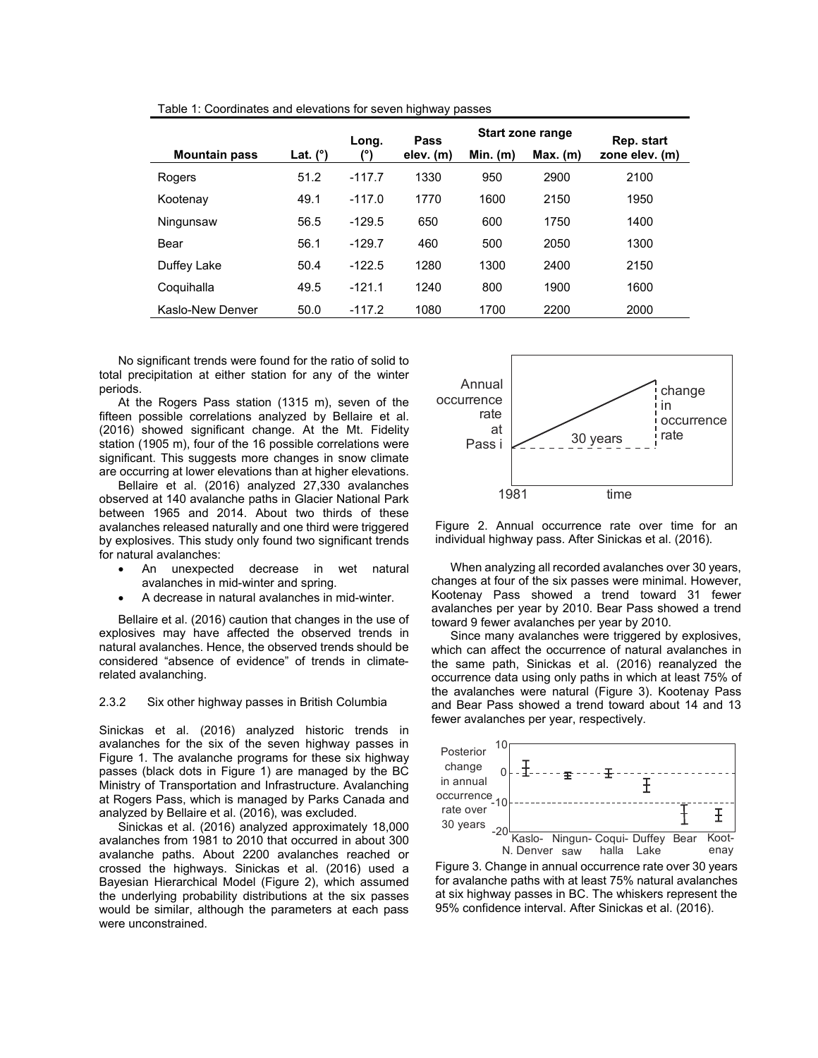|                      |            | Long.        | Pass      | Start zone range |            | Rep. start     |
|----------------------|------------|--------------|-----------|------------------|------------|----------------|
| <b>Mountain pass</b> | Lat. $(°)$ | $\mathbf{r}$ | elev. (m) | $Min.$ (m)       | $Max.$ (m) | zone elev. (m) |
| Rogers               | 51.2       | $-117.7$     | 1330      | 950              | 2900       | 2100           |
| Kootenay             | 49.1       | $-117.0$     | 1770      | 1600             | 2150       | 1950           |
| Ningunsaw            | 56.5       | $-129.5$     | 650       | 600              | 1750       | 1400           |
| Bear                 | 56.1       | $-129.7$     | 460       | 500              | 2050       | 1300           |
| Duffey Lake          | 50.4       | $-122.5$     | 1280      | 1300             | 2400       | 2150           |
| Coquihalla           | 49.5       | $-121.1$     | 1240      | 800              | 1900       | 1600           |
| Kaslo-New Denver     | 50.0       | $-117.2$     | 1080      | 1700             | 2200       | 2000           |

Table 1: Coordinates and elevations for seven highway passes

No significant trends were found for the ratio of solid to total precipitation at either station for any of the winter periods.

At the Rogers Pass station (1315 m), seven of the fifteen possible correlations analyzed by Bellaire et al. (2016) showed significant change. At the Mt. Fidelity station (1905 m), four of the 16 possible correlations were significant. This suggests more changes in snow climate are occurring at lower elevations than at higher elevations.

Bellaire et al. (2016) analyzed 27,330 avalanches observed at 140 avalanche paths in Glacier National Park between 1965 and 2014. About two thirds of these avalanches released naturally and one third were triggered by explosives. This study only found two significant trends for natural avalanches:

- An unexpected decrease in wet natural avalanches in mid-winter and spring.
- A decrease in natural avalanches in mid-winter.

Bellaire et al. (2016) caution that changes in the use of explosives may have affected the observed trends in natural avalanches. Hence, the observed trends should be considered "absence of evidence" of trends in climaterelated avalanching.

#### 2.3.2 Six other highway passes in British Columbia

Sinickas et al. (2016) analyzed historic trends in avalanches for the six of the seven highway passes in Figure 1. The avalanche programs for these six highway passes (black dots in Figure 1) are managed by the BC Ministry of Transportation and Infrastructure. Avalanching at Rogers Pass, which is managed by Parks Canada and analyzed by Bellaire et al. (2016), was excluded.

Sinickas et al. (2016) analyzed approximately 18,000 avalanches from 1981 to 2010 that occurred in about 300 avalanche paths. About 2200 avalanches reached or crossed the highways. Sinickas et al. (2016) used a Bayesian Hierarchical Model (Figure 2), which assumed the underlying probability distributions at the six passes would be similar, although the parameters at each pass were unconstrained.



Figure 2. Annual occurrence rate over time for an individual highway pass. After Sinickas et al. (2016).

When analyzing all recorded avalanches over 30 years, changes at four of the six passes were minimal. However, Kootenay Pass showed a trend toward 31 fewer avalanches per year by 2010. Bear Pass showed a trend toward 9 fewer avalanches per year by 2010.

Since many avalanches were triggered by explosives, which can affect the occurrence of natural avalanches in the same path, Sinickas et al. (2016) reanalyzed the occurrence data using only paths in which at least 75% of the avalanches were natural (Figure 3). Kootenay Pass and Bear Pass showed a trend toward about 14 and 13 fewer avalanches per year, respectively.



Figure 3. Change in annual occurrence rate over 30 years for avalanche paths with at least 75% natural avalanches at six highway passes in BC. The whiskers represent the 95% confidence interval. After Sinickas et al. (2016).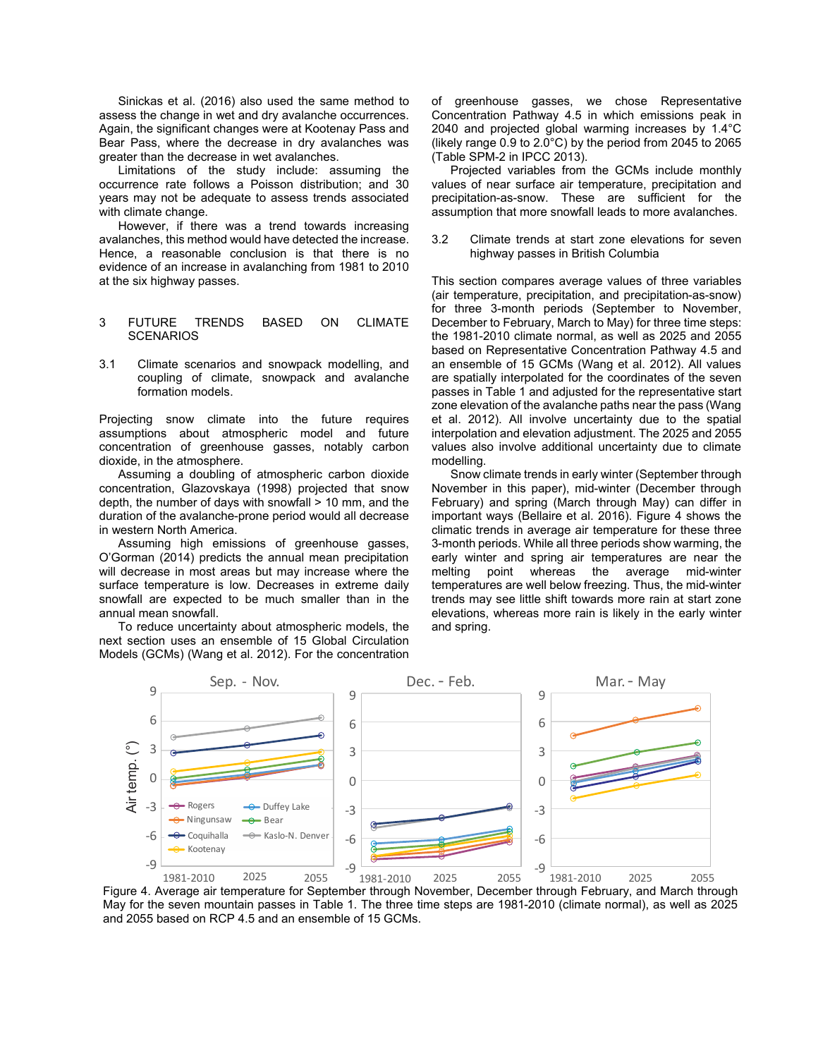Sinickas et al. (2016) also used the same method to assess the change in wet and dry avalanche occurrences. Again, the significant changes were at Kootenay Pass and Bear Pass, where the decrease in dry avalanches was greater than the decrease in wet avalanches.

Limitations of the study include: assuming the occurrence rate follows a Poisson distribution; and 30 years may not be adequate to assess trends associated with climate change.

However, if there was a trend towards increasing avalanches, this method would have detected the increase. Hence, a reasonable conclusion is that there is no evidence of an increase in avalanching from 1981 to 2010 at the six highway passes.

#### 3 FUTURE TRENDS BASED ON CLIMATE **SCENARIOS**

3.1 Climate scenarios and snowpack modelling, and coupling of climate, snowpack and avalanche formation models.

Projecting snow climate into the future requires assumptions about atmospheric model and future concentration of greenhouse gasses, notably carbon dioxide, in the atmosphere.

Assuming a doubling of atmospheric carbon dioxide concentration, Glazovskaya (1998) projected that snow depth, the number of days with snowfall > 10 mm, and the duration of the avalanche-prone period would all decrease in western North America.

Assuming high emissions of greenhouse gasses, O'Gorman (2014) predicts the annual mean precipitation will decrease in most areas but may increase where the surface temperature is low. Decreases in extreme daily snowfall are expected to be much smaller than in the annual mean snowfall.

To reduce uncertainty about atmospheric models, the next section uses an ensemble of 15 Global Circulation Models (GCMs) (Wang et al. 2012). For the concentration of greenhouse gasses, we chose Representative Concentration Pathway 4.5 in which emissions peak in 2040 and projected global warming increases by 1.4°C (likely range 0.9 to 2.0°C) by the period from 2045 to 2065 (Table SPM-2 in IPCC 2013).

Projected variables from the GCMs include monthly values of near surface air temperature, precipitation and precipitation-as-snow. These are sufficient for the assumption that more snowfall leads to more avalanches.

3.2 Climate trends at start zone elevations for seven highway passes in British Columbia

This section compares average values of three variables (air temperature, precipitation, and precipitation-as-snow) for three 3-month periods (September to November, December to February, March to May) for three time steps: the 1981-2010 climate normal, as well as 2025 and 2055 based on Representative Concentration Pathway 4.5 and an ensemble of 15 GCMs (Wang et al. 2012). All values are spatially interpolated for the coordinates of the seven passes in Table 1 and adjusted for the representative start zone elevation of the avalanche paths near the pass (Wang et al. 2012). All involve uncertainty due to the spatial interpolation and elevation adjustment. The 2025 and 2055 values also involve additional uncertainty due to climate modelling.

Snow climate trends in early winter (September through November in this paper), mid-winter (December through February) and spring (March through May) can differ in important ways (Bellaire et al. 2016). Figure 4 shows the climatic trends in average air temperature for these three 3-month periods. While all three periods show warming, the early winter and spring air temperatures are near the melting point whereas the average mid-winter temperatures are well below freezing. Thus, the mid-winter trends may see little shift towards more rain at start zone elevations, whereas more rain is likely in the early winter and spring.



Figure 4. Average air temperature for September through November, December through February, and March through May for the seven mountain passes in Table 1. The three time steps are 1981-2010 (climate normal), as well as 2025 and 2055 based on RCP 4.5 and an ensemble of 15 GCMs.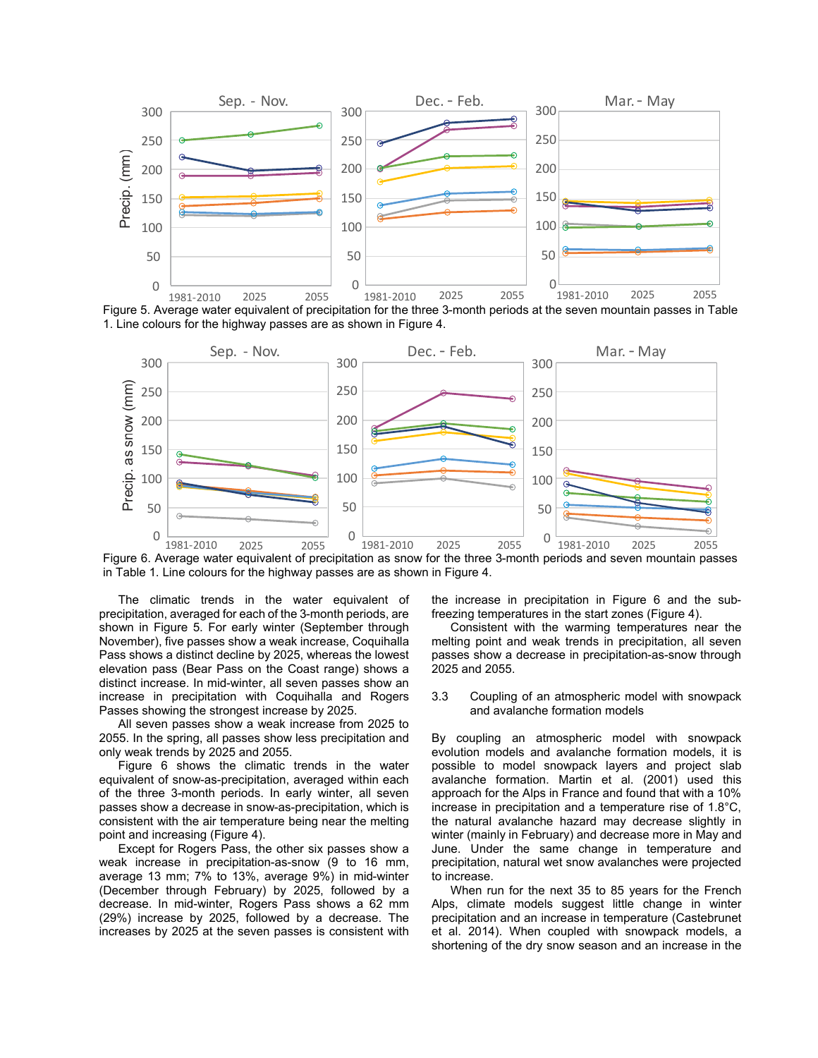

Figure 5. Average water equivalent of precipitation for the three 3-month periods at the seven mountain passes in Table 1. Line colours for the highway passes are as shown in Figure 4.



Figure 6. Average water equivalent of precipitation as snow for the three 3-month periods and seven mountain passes in Table 1. Line colours for the highway passes are as shown in Figure 4.

The climatic trends in the water equivalent of precipitation, averaged for each of the 3-month periods, are shown in Figure 5. For early winter (September through November), five passes show a weak increase, Coquihalla Pass shows a distinct decline by 2025, whereas the lowest elevation pass (Bear Pass on the Coast range) shows a distinct increase. In mid-winter, all seven passes show an increase in precipitation with Coquihalla and Rogers Passes showing the strongest increase by 2025.

All seven passes show a weak increase from 2025 to 2055. In the spring, all passes show less precipitation and only weak trends by 2025 and 2055.

Figure 6 shows the climatic trends in the water equivalent of snow-as-precipitation, averaged within each of the three 3-month periods. In early winter, all seven passes show a decrease in snow-as-precipitation, which is consistent with the air temperature being near the melting point and increasing (Figure 4).

Except for Rogers Pass, the other six passes show a weak increase in precipitation-as-snow (9 to 16 mm, average 13 mm; 7% to 13%, average 9%) in mid-winter (December through February) by 2025, followed by a decrease. In mid-winter, Rogers Pass shows a 62 mm (29%) increase by 2025, followed by a decrease. The increases by 2025 at the seven passes is consistent with

the increase in precipitation in Figure 6 and the subfreezing temperatures in the start zones (Figure 4).

Consistent with the warming temperatures near the melting point and weak trends in precipitation, all seven passes show a decrease in precipitation-as-snow through 2025 and 2055.

3.3 Coupling of an atmospheric model with snowpack and avalanche formation models

By coupling an atmospheric model with snowpack evolution models and avalanche formation models, it is possible to model snowpack layers and project slab avalanche formation. Martin et al. (2001) used this approach for the Alps in France and found that with a 10% increase in precipitation and a temperature rise of 1.8°C, the natural avalanche hazard may decrease slightly in winter (mainly in February) and decrease more in May and June. Under the same change in temperature and precipitation, natural wet snow avalanches were projected to increase.

When run for the next 35 to 85 years for the French Alps, climate models suggest little change in winter precipitation and an increase in temperature (Castebrunet et al. 2014). When coupled with snowpack models, a shortening of the dry snow season and an increase in the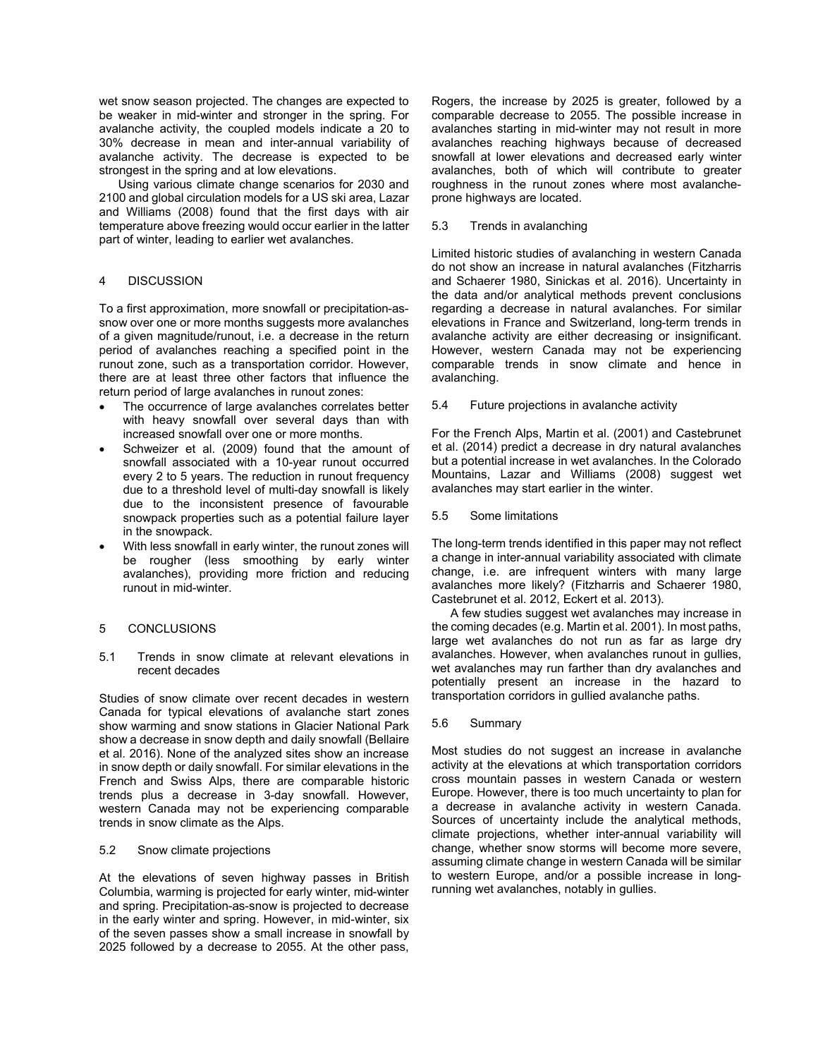wet snow season projected. The changes are expected to be weaker in mid-winter and stronger in the spring. For avalanche activity, the coupled models indicate a 20 to 30% decrease in mean and inter-annual variability of avalanche activity. The decrease is expected to be strongest in the spring and at low elevations.

Using various climate change scenarios for 2030 and 2100 and global circulation models for a US ski area, Lazar and Williams (2008) found that the first days with air temperature above freezing would occur earlier in the latter part of winter, leading to earlier wet avalanches.

## 4 DISCUSSION

To a first approximation, more snowfall or precipitation-assnow over one or more months suggests more avalanches of a given magnitude/runout, i.e. a decrease in the return period of avalanches reaching a specified point in the runout zone, such as a transportation corridor. However, there are at least three other factors that influence the return period of large avalanches in runout zones:

- The occurrence of large avalanches correlates better with heavy snowfall over several days than with increased snowfall over one or more months.
- Schweizer et al. (2009) found that the amount of snowfall associated with a 10-year runout occurred every 2 to 5 years. The reduction in runout frequency due to a threshold level of multi-day snowfall is likely due to the inconsistent presence of favourable snowpack properties such as a potential failure layer in the snowpack.
- With less snowfall in early winter, the runout zones will be rougher (less smoothing by early winter avalanches), providing more friction and reducing runout in mid-winter.

# 5 CONCLUSIONS

5.1 Trends in snow climate at relevant elevations in recent decades

Studies of snow climate over recent decades in western Canada for typical elevations of avalanche start zones show warming and snow stations in Glacier National Park show a decrease in snow depth and daily snowfall (Bellaire et al. 2016). None of the analyzed sites show an increase in snow depth or daily snowfall. For similar elevations in the French and Swiss Alps, there are comparable historic trends plus a decrease in 3-day snowfall. However, western Canada may not be experiencing comparable trends in snow climate as the Alps.

## 5.2 Snow climate projections

At the elevations of seven highway passes in British Columbia, warming is projected for early winter, mid-winter and spring. Precipitation-as-snow is projected to decrease in the early winter and spring. However, in mid-winter, six of the seven passes show a small increase in snowfall by 2025 followed by a decrease to 2055. At the other pass,

Rogers, the increase by 2025 is greater, followed by a comparable decrease to 2055. The possible increase in avalanches starting in mid-winter may not result in more avalanches reaching highways because of decreased snowfall at lower elevations and decreased early winter avalanches, both of which will contribute to greater roughness in the runout zones where most avalancheprone highways are located.

#### 5.3 Trends in avalanching

Limited historic studies of avalanching in western Canada do not show an increase in natural avalanches (Fitzharris and Schaerer 1980, Sinickas et al. 2016). Uncertainty in the data and/or analytical methods prevent conclusions regarding a decrease in natural avalanches. For similar elevations in France and Switzerland, long-term trends in avalanche activity are either decreasing or insignificant. However, western Canada may not be experiencing comparable trends in snow climate and hence in avalanching.

5.4 Future projections in avalanche activity

For the French Alps, Martin et al. (2001) and Castebrunet et al. (2014) predict a decrease in dry natural avalanches but a potential increase in wet avalanches. In the Colorado Mountains, Lazar and Williams (2008) suggest wet avalanches may start earlier in the winter.

5.5 Some limitations

The long-term trends identified in this paper may not reflect a change in inter-annual variability associated with climate change, i.e. are infrequent winters with many large avalanches more likely? (Fitzharris and Schaerer 1980, Castebrunet et al. 2012, Eckert et al. 2013).

A few studies suggest wet avalanches may increase in the coming decades (e.g. Martin et al. 2001). In most paths, large wet avalanches do not run as far as large dry avalanches. However, when avalanches runout in gullies, wet avalanches may run farther than dry avalanches and potentially present an increase in the hazard to transportation corridors in gullied avalanche paths.

5.6 Summary

Most studies do not suggest an increase in avalanche activity at the elevations at which transportation corridors cross mountain passes in western Canada or western Europe. However, there is too much uncertainty to plan for a decrease in avalanche activity in western Canada. Sources of uncertainty include the analytical methods, climate projections, whether inter-annual variability will change, whether snow storms will become more severe, assuming climate change in western Canada will be similar to western Europe, and/or a possible increase in longrunning wet avalanches, notably in gullies.